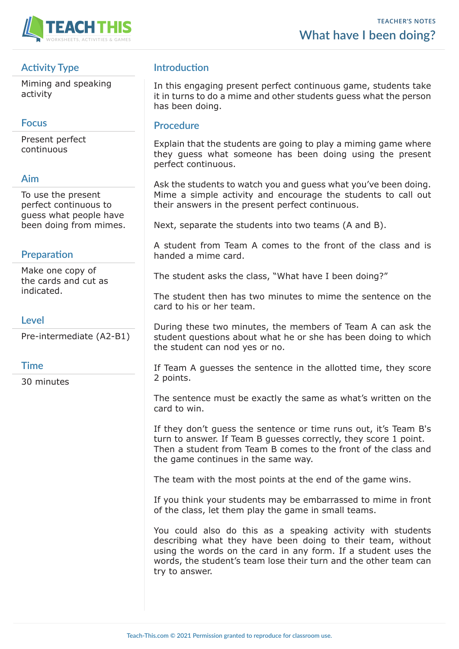

## **Activity Type**

Miming and speaking activity

### **Focus**

Present perfect continuous

#### **Aim**

To use the present perfect continuous to guess what people have been doing from mimes.

## **Preparation**

Make one copy of the cards and cut as indicated.

#### **Level**

Pre-intermediate (A2-B1)

#### **Time**

30 minutes

## **Introduction**

In this engaging present perfect continuous game, students take it in turns to do a mime and other students guess what the person has been doing.

#### **Procedure**

Explain that the students are going to play a miming game where they guess what someone has been doing using the present perfect continuous.

Ask the students to watch you and guess what you've been doing. Mime a simple activity and encourage the students to call out their answers in the present perfect continuous.

Next, separate the students into two teams (A and B).

A student from Team A comes to the front of the class and is handed a mime card.

The student asks the class, "What have I been doing?"

The student then has two minutes to mime the sentence on the card to his or her team.

During these two minutes, the members of Team A can ask the student questions about what he or she has been doing to which the student can nod yes or no.

If Team A guesses the sentence in the allotted time, they score 2 points.

The sentence must be exactly the same as what's written on the card to win.

If they don't guess the sentence or time runs out, it's Team B's turn to answer. If Team B guesses correctly, they score 1 point. Then a student from Team B comes to the front of the class and the game continues in the same way.

The team with the most points at the end of the game wins.

If you think your students may be embarrassed to mime in front of the class, let them play the game in small teams.

You could also do this as a speaking activity with students describing what they have been doing to their team, without using the words on the card in any form. If a student uses the words, the student's team lose their turn and the other team can try to answer.